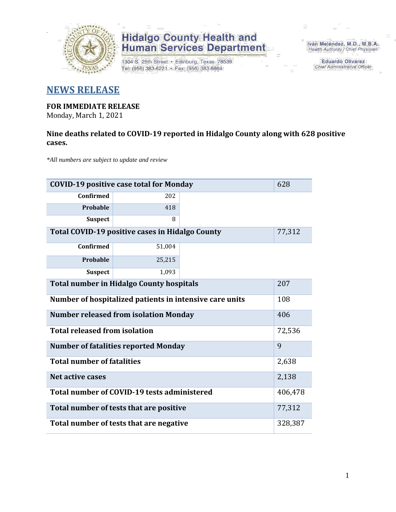

1304 S. 25th Street • Edinburg, Texas 78539<br>Tel: (956) 383-6221 • Fax: (956) 383-8864

Iván Meléndez, M.D., M.B.A. Health Authority / Chief Physician

> **Eduardo Olivarez** Chief Administrative Officer

### **NEWS RELEASE**

#### **FOR IMMEDIATE RELEASE**

Monday, March 1, 2021

#### **Nine deaths related to COVID-19 reported in Hidalgo County along with 628 positive cases.**

*\*All numbers are subject to update and review*

| <b>COVID-19 positive case total for Monday</b><br>628            |                                             |  |         |  |  |  |  |  |  |
|------------------------------------------------------------------|---------------------------------------------|--|---------|--|--|--|--|--|--|
| <b>Confirmed</b>                                                 | 202                                         |  |         |  |  |  |  |  |  |
| Probable                                                         | 418                                         |  |         |  |  |  |  |  |  |
| <b>Suspect</b>                                                   | 8                                           |  |         |  |  |  |  |  |  |
| <b>Total COVID-19 positive cases in Hidalgo County</b><br>77,312 |                                             |  |         |  |  |  |  |  |  |
| Confirmed                                                        |                                             |  |         |  |  |  |  |  |  |
| Probable                                                         | 25,215                                      |  |         |  |  |  |  |  |  |
| <b>Suspect</b>                                                   | 1,093                                       |  |         |  |  |  |  |  |  |
| <b>Total number in Hidalgo County hospitals</b>                  | 207                                         |  |         |  |  |  |  |  |  |
| Number of hospitalized patients in intensive care units          | 108                                         |  |         |  |  |  |  |  |  |
| <b>Number released from isolation Monday</b><br>406              |                                             |  |         |  |  |  |  |  |  |
| <b>Total released from isolation</b>                             |                                             |  | 72,536  |  |  |  |  |  |  |
|                                                                  | <b>Number of fatalities reported Monday</b> |  | 9       |  |  |  |  |  |  |
| <b>Total number of fatalities</b>                                |                                             |  | 2,638   |  |  |  |  |  |  |
| <b>Net active cases</b>                                          |                                             |  | 2,138   |  |  |  |  |  |  |
|                                                                  | Total number of COVID-19 tests administered |  | 406,478 |  |  |  |  |  |  |
| 77,312<br>Total number of tests that are positive                |                                             |  |         |  |  |  |  |  |  |
| Total number of tests that are negative                          | 328,387                                     |  |         |  |  |  |  |  |  |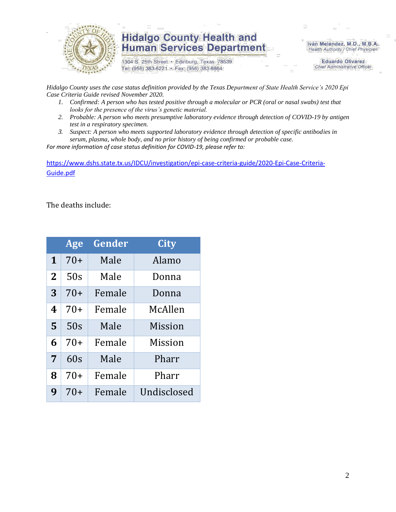

1304 S. 25th Street · Edinburg, Texas 78539 Tel: (956) 383-6221 · Fax: (956) 383-8864

Iván Meléndez, M.D., M.B.A. Health Authority / Chief Physician

> **Eduardo Olivarez Chief Administrative Officer**

*Hidalgo County uses the case status definition provided by the Texas Department of State Health Service's 2020 Epi Case Criteria Guide revised November 2020.*

- *1. Confirmed: A person who has tested positive through a molecular or PCR (oral or nasal swabs) test that looks for the presence of the virus's genetic material.*
- *2. Probable: A person who meets presumptive laboratory evidence through detection of COVID-19 by antigen test in a respiratory specimen.*
- *3. Suspect: A person who meets supported laboratory evidence through detection of specific antibodies in serum, plasma, whole body, and no prior history of being confirmed or probable case.*

*For more information of case status definition for COVID-19, please refer to:*

[https://www.dshs.state.tx.us/IDCU/investigation/epi-case-criteria-guide/2020-Epi-Case-Criteria-](https://www.dshs.state.tx.us/IDCU/investigation/epi-case-criteria-guide/2020-Epi-Case-Criteria-Guide.pdf)[Guide.pdf](https://www.dshs.state.tx.us/IDCU/investigation/epi-case-criteria-guide/2020-Epi-Case-Criteria-Guide.pdf)

The deaths include:

|             | Age   | Gender | <b>City</b>    |
|-------------|-------|--------|----------------|
| $\mathbf 1$ | $70+$ | Male   | Alamo          |
| 2           | 50s   | Male   | Donna          |
| 3           | $70+$ | Female | Donna          |
| 4           | $70+$ | Female | McAllen        |
| 5           | 50s   | Male   | <b>Mission</b> |
| 6           | $70+$ | Female | <b>Mission</b> |
| 7           | 60s   | Male   | Pharr          |
| 8           | $70+$ | Female | Pharr          |
| 9           | 70+   | Female | Undisclosed    |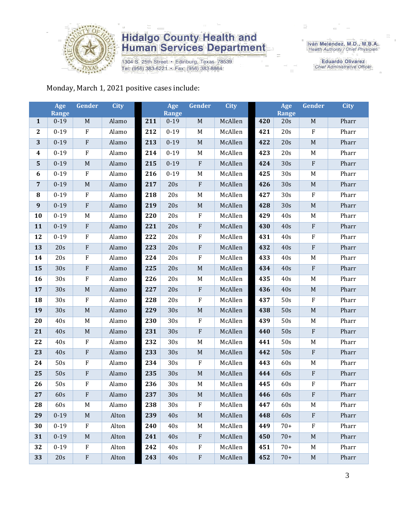

1304 S. 25th Street • Edinburg, Texas 78539<br>Tel: (956) 383-6221 • Fax: (956) 383-8864

Iván Meléndez, M.D., M.B.A.<br>Health Authority / Chief Physician

**Eduardo Olivarez** Chief Administrative Officer

#### Monday, March 1, 2021 positive cases include:

|                  | Age<br><b>Range</b> | Gender                    | <b>City</b> |     | Age<br>Range | Gender      | <b>City</b> |     | Age<br><b>Range</b> | Gender      | <b>City</b> |
|------------------|---------------------|---------------------------|-------------|-----|--------------|-------------|-------------|-----|---------------------|-------------|-------------|
| $\mathbf{1}$     | $0 - 19$            | $\mathbf M$               | Alamo       | 211 | $0 - 19$     | $\mathbf M$ | McAllen     | 420 | 20s                 | $\mathbf M$ | Pharr       |
| $\boldsymbol{2}$ | $0 - 19$            | ${\bf F}$                 | Alamo       | 212 | $0 - 19$     | M           | McAllen     | 421 | 20s                 | $\rm F$     | Pharr       |
| 3                | $0 - 19$            | $\boldsymbol{\mathrm{F}}$ | Alamo       | 213 | $0 - 19$     | $\mathbf M$ | McAllen     | 422 | 20s                 | $\mathbf M$ | Pharr       |
| $\boldsymbol{4}$ | $0 - 19$            | $\rm F$                   | Alamo       | 214 | $0 - 19$     | $M_{\odot}$ | McAllen     | 423 | 20s                 | M           | Pharr       |
| $\mathbf{5}$     | $0 - 19$            | $\mathbf M$               | Alamo       | 215 | $0 - 19$     | ${\bf F}$   | McAllen     | 424 | 30s                 | $\rm F$     | Pharr       |
| 6                | $0 - 19$            | $\rm F$                   | Alamo       | 216 | $0 - 19$     | $\mathbf M$ | McAllen     | 425 | 30s                 | $\mathbf M$ | Pharr       |
| $\overline{7}$   | $0 - 19$            | $\mathbf M$               | Alamo       | 217 | 20s          | $\rm F$     | McAllen     | 426 | 30s                 | M           | Pharr       |
| ${\bf 8}$        | $0 - 19$            | ${\bf F}$                 | Alamo       | 218 | 20s          | $M_{\odot}$ | McAllen     | 427 | 30s                 | $\rm F$     | Pharr       |
| 9                | $0 - 19$            | ${\bf F}$                 | Alamo       | 219 | 20s          | $\mathbf M$ | McAllen     | 428 | 30s                 | $\mathbf M$ | Pharr       |
| 10               | $0 - 19$            | M                         | Alamo       | 220 | 20s          | $\rm F$     | McAllen     | 429 | 40s                 | M           | Pharr       |
| 11               | $0 - 19$            | ${\bf F}$                 | Alamo       | 221 | 20s          | $\rm F$     | McAllen     | 430 | 40s                 | $\rm F$     | Pharr       |
| 12               | $0 - 19$            | $\boldsymbol{\mathrm{F}}$ | Alamo       | 222 | 20s          | $\rm F$     | McAllen     | 431 | 40s                 | $\rm F$     | Pharr       |
| 13               | 20s                 | ${\bf F}$                 | Alamo       | 223 | 20s          | $\rm F$     | McAllen     | 432 | 40s                 | $\rm F$     | Pharr       |
| 14               | 20s                 | $\rm F$                   | Alamo       | 224 | 20s          | $\rm F$     | McAllen     | 433 | 40s                 | $\mathbf M$ | Pharr       |
| 15               | 30s                 | $\boldsymbol{\mathrm{F}}$ | Alamo       | 225 | 20s          | $\mathbf M$ | McAllen     | 434 | 40s                 | $\rm F$     | Pharr       |
| 16               | 30s                 | $\boldsymbol{\mathrm{F}}$ | Alamo       | 226 | 20s          | $\mathbf M$ | McAllen     | 435 | 40s                 | M           | Pharr       |
| 17               | 30s                 | $\mathbf M$               | Alamo       | 227 | 20s          | $\rm F$     | McAllen     | 436 | 40s                 | $\mathbf M$ | Pharr       |
| 18               | 30s                 | ${\bf F}$                 | Alamo       | 228 | 20s          | $\rm F$     | McAllen     | 437 | 50s                 | $\rm F$     | Pharr       |
| 19               | 30s                 | $\mathbf M$               | Alamo       | 229 | 30s          | $\mathbf M$ | McAllen     | 438 | 50s                 | $\mathbf M$ | Pharr       |
| 20               | 40s                 | $\mathbf M$               | Alamo       | 230 | 30s          | $\rm F$     | McAllen     | 439 | 50s                 | M           | Pharr       |
| 21               | 40s                 | $\mathbf M$               | Alamo       | 231 | 30s          | $\rm F$     | McAllen     | 440 | 50s                 | $\rm F$     | Pharr       |
| 22               | 40s                 | ${\bf F}$                 | Alamo       | 232 | 30s          | $M_{\odot}$ | McAllen     | 441 | 50s                 | M           | Pharr       |
| 23               | 40s                 | ${\bf F}$                 | Alamo       | 233 | 30s          | $\mathbf M$ | McAllen     | 442 | 50s                 | ${\bf F}$   | Pharr       |
| 24               | 50s                 | $\rm F$                   | Alamo       | 234 | 30s          | $\rm F$     | McAllen     | 443 | 60s                 | M           | Pharr       |
| 25               | 50s                 | ${\bf F}$                 | Alamo       | 235 | 30s          | $\mathbf M$ | McAllen     | 444 | 60s                 | $\rm F$     | Pharr       |
| 26               | 50s                 | ${\bf F}$                 | Alamo       | 236 | 30s          | $\mathbf M$ | McAllen     | 445 | 60s                 | $\rm F$     | Pharr       |
| 27               | 60s                 | ${\bf F}$                 | Alamo       | 237 | 30s          | $\mathbf M$ | McAllen     | 446 | 60s                 | ${\bf F}$   | Pharr       |
| 28               | 60s                 | M                         | Alamo       | 238 | 30s          | ${\bf F}$   | McAllen     | 447 | 60s                 | M           | Pharr       |
| 29               | $0 - 19$            | M                         | Alton       | 239 | 40s          | $M_{\odot}$ | McAllen     | 448 | 60s                 | $\rm F$     | Pharr       |
| 30               | $0 - 19$            | ${\bf F}$                 | Alton       | 240 | 40s          | M           | McAllen     | 449 | $70+$               | $\rm F$     | Pharr       |
| 31               | $0 - 19$            | M                         | Alton       | 241 | 40s          | $\rm F$     | McAllen     | 450 | $70+$               | M           | Pharr       |
| 32               | $0 - 19$            | F                         | Alton       | 242 | 40s          | $\rm F$     | McAllen     | 451 | $70+$               | M           | Pharr       |
| 33               | 20s                 | $\boldsymbol{\mathrm{F}}$ | Alton       | 243 | 40s          | ${\bf F}$   | McAllen     | 452 | $70+$               | M           | Pharr       |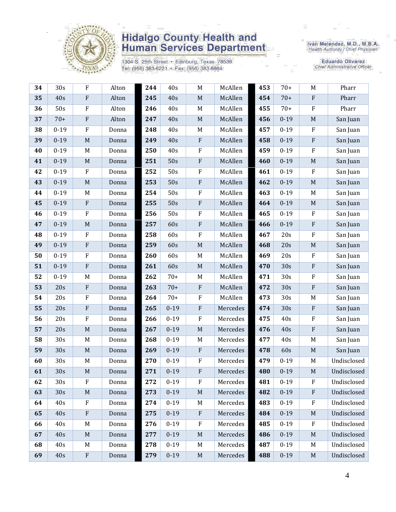

1304 S. 25th Street • Edinburg, Texas 78539<br>Tel: (956) 383-6221 • Fax: (956) 383-8864

Iván Meléndez, M.D., M.B.A.<br>Health Authority / Chief Physician

| 34 | 30s             | F                         | Alton | 244 | 40s      | $\mathbf M$               | McAllen  | 453 | $70+$    | M                         | Pharr       |
|----|-----------------|---------------------------|-------|-----|----------|---------------------------|----------|-----|----------|---------------------------|-------------|
| 35 | 40s             | $\boldsymbol{\mathrm{F}}$ | Alton | 245 | 40s      | $\mathbf M$               | McAllen  | 454 | $70+$    | ${\bf F}$                 | Pharr       |
| 36 | 50s             | $\rm F$                   | Alton | 246 | 40s      | M                         | McAllen  | 455 | $70+$    | ${\bf F}$                 | Pharr       |
| 37 | $70+$           | $\rm F$                   | Alton | 247 | 40s      | $\mathbf M$               | McAllen  | 456 | $0 - 19$ | $\mathbf M$               | San Juan    |
| 38 | $0 - 19$        | $\rm F$                   | Donna | 248 | 40s      | M                         | McAllen  | 457 | $0 - 19$ | $\boldsymbol{\mathrm{F}}$ | San Juan    |
| 39 | $0 - 19$        | $\mathbf M$               | Donna | 249 | 40s      | $\boldsymbol{\mathrm{F}}$ | McAllen  | 458 | $0 - 19$ | ${\bf F}$                 | San Juan    |
| 40 | $0 - 19$        | M                         | Donna | 250 | 40s      | F                         | McAllen  | 459 | $0 - 19$ | $\boldsymbol{\mathrm{F}}$ | San Juan    |
| 41 | $0 - 19$        | $\mathbf M$               | Donna | 251 | 50s      | ${\bf F}$                 | McAllen  | 460 | $0 - 19$ | $\mathbf M$               | San Juan    |
| 42 | $0 - 19$        | ${\bf F}$                 | Donna | 252 | 50s      | ${\bf F}$                 | McAllen  | 461 | $0 - 19$ | ${\bf F}$                 | San Juan    |
| 43 | $0 - 19$        | $\mathbf M$               | Donna | 253 | 50s      | ${\bf F}$                 | McAllen  | 462 | $0 - 19$ | $\mathbf M$               | San Juan    |
| 44 | $0 - 19$        | M                         | Donna | 254 | 50s      | ${\bf F}$                 | McAllen  | 463 | $0 - 19$ | M                         | San Juan    |
| 45 | $0 - 19$        | $\rm F$                   | Donna | 255 | 50s      | $\boldsymbol{\mathrm{F}}$ | McAllen  | 464 | $0 - 19$ | $\mathbf M$               | San Juan    |
| 46 | $0 - 19$        | $\rm F$                   | Donna | 256 | 50s      | F                         | McAllen  | 465 | $0 - 19$ | $\boldsymbol{\mathrm{F}}$ | San Juan    |
| 47 | $0 - 19$        | $\mathbf M$               | Donna | 257 | 60s      | ${\bf F}$                 | McAllen  | 466 | $0 - 19$ | ${\bf F}$                 | San Juan    |
| 48 | $0 - 19$        | $\rm F$                   | Donna | 258 | 60s      | ${\bf F}$                 | McAllen  | 467 | 20s      | ${\bf F}$                 | San Juan    |
| 49 | $0 - 19$        | $\boldsymbol{\mathrm{F}}$ | Donna | 259 | 60s      | $\mathbf M$               | McAllen  | 468 | 20s      | $\mathbf M$               | San Juan    |
| 50 | $0 - 19$        | $\mathbf F$               | Donna | 260 | 60s      | M                         | McAllen  | 469 | 20s      | $\boldsymbol{\mathrm{F}}$ | San Juan    |
| 51 | $0 - 19$        | $\rm F$                   | Donna | 261 | 60s      | $\mathbf M$               | McAllen  | 470 | 30s      | ${\bf F}$                 | San Juan    |
| 52 | $0 - 19$        | M                         | Donna | 262 | $70+$    | M                         | McAllen  | 471 | 30s      | ${\bf F}$                 | San Juan    |
| 53 | 20s             | ${\bf F}$                 | Donna | 263 | $70+$    | $\boldsymbol{\mathrm{F}}$ | McAllen  | 472 | 30s      | ${\bf F}$                 | San Juan    |
| 54 | 20s             | F                         | Donna | 264 | $70+$    | F                         | McAllen  | 473 | 30s      | M                         | San Juan    |
| 55 | 20s             | ${\bf F}$                 | Donna | 265 | $0 - 19$ | ${\bf F}$                 | Mercedes | 474 | 30s      | ${\bf F}$                 | San Juan    |
| 56 | 20s             | ${\bf F}$                 | Donna | 266 | $0 - 19$ | $\rm F$                   | Mercedes | 475 | 40s      | ${\bf F}$                 | San Juan    |
| 57 | 20s             | $\mathbf M$               | Donna | 267 | $0 - 19$ | $\mathbf M$               | Mercedes | 476 | 40s      | ${\bf F}$                 | San Juan    |
| 58 | 30s             | M                         | Donna | 268 | $0 - 19$ | M                         | Mercedes | 477 | 40s      | M                         | San Juan    |
| 59 | 30s             | $\mathbf M$               | Donna | 269 | $0 - 19$ | ${\bf F}$                 | Mercedes | 478 | 60s      | $\mathbf M$               | San Juan    |
| 60 | 30s             | M                         | Donna | 270 | $0 - 19$ | ${\bf F}$                 | Mercedes | 479 | $0 - 19$ | M                         | Undisclosed |
| 61 | 30s             | $\mathbf M$               | Donna | 271 | $0 - 19$ | ${\bf F}$                 | Mercedes | 480 | $0 - 19$ | $\mathbf M$               | Undisclosed |
| 62 | 30 <sub>s</sub> | $_{\rm F}$                | Donna | 272 | $0 - 19$ | F                         | Mercedes | 481 | $0 - 19$ | F                         | Undisclosed |
| 63 | 30 <sub>s</sub> | M                         | Donna | 273 | $0 - 19$ | $\mathbf M$               | Mercedes | 482 | $0 - 19$ | $\boldsymbol{\mathrm{F}}$ | Undisclosed |
| 64 | 40s             | $\rm F$                   | Donna | 274 | $0 - 19$ | M                         | Mercedes | 483 | $0 - 19$ | ${\bf F}$                 | Undisclosed |
| 65 | 40s             | ${\bf F}$                 | Donna | 275 | $0 - 19$ | ${\bf F}$                 | Mercedes | 484 | $0 - 19$ | M                         | Undisclosed |
| 66 | 40s             | M                         | Donna | 276 | $0 - 19$ | $\rm F$                   | Mercedes | 485 | $0 - 19$ | ${\bf F}$                 | Undisclosed |
| 67 | 40s             | $\mathbf M$               | Donna | 277 | $0 - 19$ | $\mathbf M$               | Mercedes | 486 | $0 - 19$ | $\mathbf M$               | Undisclosed |
| 68 | 40s             | M                         | Donna | 278 | $0 - 19$ | M                         | Mercedes | 487 | $0 - 19$ | M                         | Undisclosed |
| 69 | 40s             | $\boldsymbol{\mathrm{F}}$ | Donna | 279 | $0 - 19$ | $\mathbf M$               | Mercedes | 488 | $0 - 19$ | $\mathbf M$               | Undisclosed |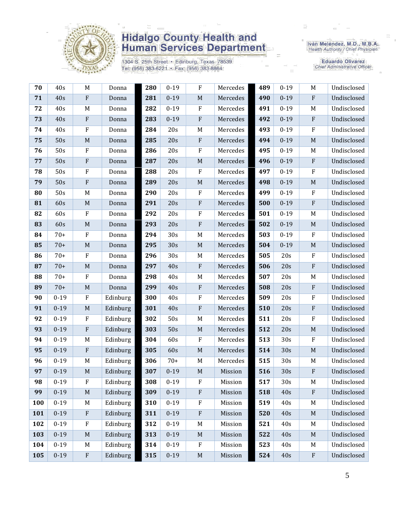

1304 S. 25th Street • Edinburg, Texas 78539<br>Tel: (956) 383-6221 • Fax: (956) 383-8864

Iván Meléndez, M.D., M.B.A.<br>Health Authority / Chief Physician

| 70  | 40s      | M                         | Donna    | 280 | $0 - 19$ | $\rm F$      | Mercedes | 489 | $0 - 19$ | M            | Undisclosed |
|-----|----------|---------------------------|----------|-----|----------|--------------|----------|-----|----------|--------------|-------------|
| 71  | 40s      | $\boldsymbol{\mathrm{F}}$ | Donna    | 281 | $0 - 19$ | $\mathbf M$  | Mercedes | 490 | $0 - 19$ | $\mathbf{F}$ | Undisclosed |
| 72  | 40s      | M                         | Donna    | 282 | $0 - 19$ | $\rm F$      | Mercedes | 491 | $0 - 19$ | M            | Undisclosed |
| 73  | 40s      | $\rm F$                   | Donna    | 283 | $0 - 19$ | $\rm F$      | Mercedes | 492 | $0 - 19$ | ${\bf F}$    | Undisclosed |
| 74  | 40s      | $\rm F$                   | Donna    | 284 | 20s      | $\mathbf M$  | Mercedes | 493 | $0 - 19$ | $\rm F$      | Undisclosed |
| 75  | 50s      | M                         | Donna    | 285 | 20s      | ${\bf F}$    | Mercedes | 494 | $0 - 19$ | M            | Undisclosed |
| 76  | 50s      | $\rm F$                   | Donna    | 286 | 20s      | $\rm F$      | Mercedes | 495 | $0 - 19$ | M            | Undisclosed |
| 77  | 50s      | $\rm F$                   | Donna    | 287 | 20s      | $\mathbf M$  | Mercedes | 496 | $0 - 19$ | $\rm F$      | Undisclosed |
| 78  | 50s      | $\rm F$                   | Donna    | 288 | 20s      | $\rm F$      | Mercedes | 497 | $0 - 19$ | $\rm F$      | Undisclosed |
| 79  | 50s      | $\rm F$                   | Donna    | 289 | 20s      | $\mathbf M$  | Mercedes | 498 | $0 - 19$ | $\mathbf M$  | Undisclosed |
| 80  | 50s      | M                         | Donna    | 290 | 20s      | ${\bf F}$    | Mercedes | 499 | $0 - 19$ | $\rm F$      | Undisclosed |
| 81  | 60s      | $\mathbf M$               | Donna    | 291 | 20s      | ${\bf F}$    | Mercedes | 500 | $0 - 19$ | $\rm F$      | Undisclosed |
| 82  | 60s      | $\rm F$                   | Donna    | 292 | 20s      | ${\bf F}$    | Mercedes | 501 | $0 - 19$ | M            | Undisclosed |
| 83  | 60s      | $\mathbf M$               | Donna    | 293 | 20s      | $\rm F$      | Mercedes | 502 | $0 - 19$ | $\mathbf M$  | Undisclosed |
| 84  | $70+$    | ${\bf F}$                 | Donna    | 294 | 30s      | $M_{\odot}$  | Mercedes | 503 | $0 - 19$ | $\rm F$      | Undisclosed |
| 85  | $70+$    | $\mathbf M$               | Donna    | 295 | 30s      | $\mathbf M$  | Mercedes | 504 | $0 - 19$ | $\mathbf M$  | Undisclosed |
| 86  | $70+$    | F                         | Donna    | 296 | 30s      | M            | Mercedes | 505 | 20s      | $\rm F$      | Undisclosed |
| 87  | $70+$    | $\mathbf M$               | Donna    | 297 | 40s      | $\rm F$      | Mercedes | 506 | 20s      | $\rm F$      | Undisclosed |
| 88  | $70+$    | ${\bf F}$                 | Donna    | 298 | 40s      | $\mathbf M$  | Mercedes | 507 | 20s      | M            | Undisclosed |
| 89  | $70+$    | $\mathbf M$               | Donna    | 299 | 40s      | ${\bf F}$    | Mercedes | 508 | 20s      | ${\bf F}$    | Undisclosed |
| 90  | $0 - 19$ | $\rm F$                   | Edinburg | 300 | 40s      | ${\bf F}$    | Mercedes | 509 | 20s      | $\rm F$      | Undisclosed |
| 91  | $0 - 19$ | $\mathbf M$               | Edinburg | 301 | 40s      | $\rm F$      | Mercedes | 510 | 20s      | ${\bf F}$    | Undisclosed |
| 92  | $0 - 19$ | ${\bf F}$                 | Edinburg | 302 | 50s      | $\mathbf M$  | Mercedes | 511 | 20s      | $\rm F$      | Undisclosed |
| 93  | $0 - 19$ | $\rm F$                   | Edinburg | 303 | 50s      | $\mathbf M$  | Mercedes | 512 | 20s      | $\mathbf M$  | Undisclosed |
| 94  | $0 - 19$ | M                         | Edinburg | 304 | 60s      | ${\bf F}$    | Mercedes | 513 | 30s      | $\rm F$      | Undisclosed |
| 95  | $0 - 19$ | $\boldsymbol{\mathrm{F}}$ | Edinburg | 305 | 60s      | $\mathbf M$  | Mercedes | 514 | 30s      | $\mathbf M$  | Undisclosed |
| 96  | $0 - 19$ | M                         | Edinburg | 306 | $70+$    | M            | Mercedes | 515 | 30s      | M            | Undisclosed |
| 97  | $0 - 19$ | M                         | Edinburg | 307 | $0 - 19$ | $\mathbf M$  | Mission  | 516 | 30s      | F            | Undisclosed |
| 98  | $0 - 19$ | ${\bf F}$                 | Edinburg | 308 | $0 - 19$ | $\mathbf{F}$ | Mission  | 517 | 30s      | M            | Undisclosed |
| 99  | $0 - 19$ | $\mathbf M$               | Edinburg | 309 | $0 - 19$ | ${\bf F}$    | Mission  | 518 | 40s      | ${\bf F}$    | Undisclosed |
| 100 | $0 - 19$ | M                         | Edinburg | 310 | $0 - 19$ | $\rm F$      | Mission  | 519 | 40s      | M            | Undisclosed |
| 101 | $0 - 19$ | ${\bf F}$                 | Edinburg | 311 | $0 - 19$ | $\rm F$      | Mission  | 520 | 40s      | M            | Undisclosed |
| 102 | $0 - 19$ | $\rm F$                   | Edinburg | 312 | $0 - 19$ | M            | Mission  | 521 | 40s      | M            | Undisclosed |
| 103 | $0 - 19$ | $\mathbf M$               | Edinburg | 313 | $0 - 19$ | $\mathbf M$  | Mission  | 522 | 40s      | $\mathbf M$  | Undisclosed |
| 104 | $0 - 19$ | M                         | Edinburg | 314 | $0 - 19$ | ${\bf F}$    | Mission  | 523 | 40s      | M            | Undisclosed |
| 105 | $0 - 19$ | $\boldsymbol{\mathrm{F}}$ | Edinburg | 315 | $0 - 19$ | $\mathbf M$  | Mission  | 524 | 40s      | ${\bf F}$    | Undisclosed |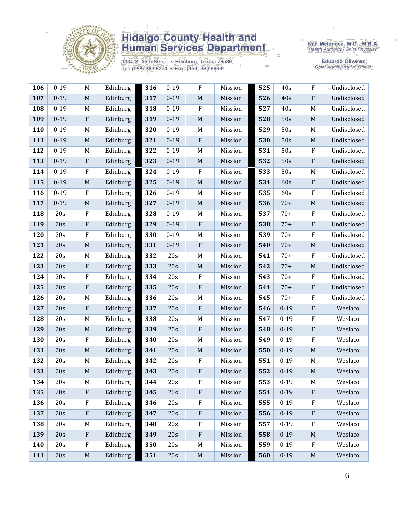

1304 S. 25th Street • Edinburg, Texas 78539<br>Tel: (956) 383-6221 • Fax: (956) 383-8864

Iván Meléndez, M.D., M.B.A.<br>Health Authority / Chief Physician

| 106 | $0 - 19$ | M           | Edinburg | 316 | $0 - 19$ | $\rm F$          | Mission | 525 | 40s      | ${\bf F}$                 | Undisclosed |
|-----|----------|-------------|----------|-----|----------|------------------|---------|-----|----------|---------------------------|-------------|
| 107 | $0-19$   | M           | Edinburg | 317 | $0 - 19$ | $\mathbf M$      | Mission | 526 | 40s      | ${\bf F}$                 | Undisclosed |
| 108 | $0 - 19$ | M           | Edinburg | 318 | $0 - 19$ | $\boldsymbol{F}$ | Mission | 527 | 40s      | M                         | Undisclosed |
| 109 | $0 - 19$ | $\rm F$     | Edinburg | 319 | $0 - 19$ | $\mathbf M$      | Mission | 528 | 50s      | $\mathbf M$               | Undisclosed |
| 110 | $0 - 19$ | M           | Edinburg | 320 | $0 - 19$ | $M_{\rm}$        | Mission | 529 | 50s      | M                         | Undisclosed |
| 111 | $0 - 19$ | M           | Edinburg | 321 | $0 - 19$ | $\mathbf{F}$     | Mission | 530 | 50s      | M                         | Undisclosed |
| 112 | $0 - 19$ | M           | Edinburg | 322 | $0 - 19$ | $\mathbf M$      | Mission | 531 | 50s      | $\rm F$                   | Undisclosed |
| 113 | $0 - 19$ | $\rm F$     | Edinburg | 323 | $0 - 19$ | $\mathbf M$      | Mission | 532 | 50s      | ${\bf F}$                 | Undisclosed |
| 114 | $0 - 19$ | $\rm F$     | Edinburg | 324 | $0 - 19$ | $\mathbf{F}$     | Mission | 533 | 50s      | M                         | Undisclosed |
| 115 | $0 - 19$ | M           | Edinburg | 325 | $0 - 19$ | $\mathbf M$      | Mission | 534 | 60s      | $\rm F$                   | Undisclosed |
| 116 | $0 - 19$ | $\rm F$     | Edinburg | 326 | $0 - 19$ | $\mathbf M$      | Mission | 535 | 60s      | ${\bf F}$                 | Undisclosed |
| 117 | $0 - 19$ | $\mathbf M$ | Edinburg | 327 | $0 - 19$ | $\mathbf M$      | Mission | 536 | $70+$    | M                         | Undisclosed |
| 118 | 20s      | $\rm F$     | Edinburg | 328 | $0 - 19$ | M                | Mission | 537 | $70+$    | $\rm F$                   | Undisclosed |
| 119 | 20s      | ${\bf F}$   | Edinburg | 329 | $0 - 19$ | $\rm F$          | Mission | 538 | $70+$    | ${\bf F}$                 | Undisclosed |
| 120 | 20s      | $\rm F$     | Edinburg | 330 | $0 - 19$ | $M_{\rm}$        | Mission | 539 | $70+$    | $\boldsymbol{\mathrm{F}}$ | Undisclosed |
| 121 | 20s      | $\mathbf M$ | Edinburg | 331 | $0 - 19$ | $\rm F$          | Mission | 540 | $70+$    | $\mathbf M$               | Undisclosed |
| 122 | 20s      | M           | Edinburg | 332 | 20s      | $\mathbf M$      | Mission | 541 | $70+$    | $\boldsymbol{\mathrm{F}}$ | Undisclosed |
| 123 | 20s      | ${\bf F}$   | Edinburg | 333 | 20s      | $\mathbf M$      | Mission | 542 | $70+$    | $\mathbf M$               | Undisclosed |
| 124 | 20s      | $\rm F$     | Edinburg | 334 | 20s      | $\boldsymbol{F}$ | Mission | 543 | $70+$    | ${\bf F}$                 | Undisclosed |
| 125 | 20s      | ${\bf F}$   | Edinburg | 335 | 20s      | $\rm F$          | Mission | 544 | $70+$    | ${\bf F}$                 | Undisclosed |
| 126 | 20s      | M           | Edinburg | 336 | 20s      | M                | Mission | 545 | $70+$    | $\rm F$                   | Undisclosed |
| 127 | 20s      | $\rm F$     | Edinburg | 337 | 20s      | $\rm F$          | Mission | 546 | $0 - 19$ | ${\bf F}$                 | Weslaco     |
| 128 | 20s      | M           | Edinburg | 338 | 20s      | $\mathbf M$      | Mission | 547 | $0 - 19$ | $\boldsymbol{\mathrm{F}}$ | Weslaco     |
| 129 | 20s      | M           | Edinburg | 339 | 20s      | $\rm F$          | Mission | 548 | $0 - 19$ | ${\bf F}$                 | Weslaco     |
| 130 | 20s      | $\rm F$     | Edinburg | 340 | 20s      | $M_{\rm}$        | Mission | 549 | $0 - 19$ | $\rm F$                   | Weslaco     |
| 131 | 20s      | M           | Edinburg | 341 | 20s      | $\mathbf M$      | Mission | 550 | $0 - 19$ | $\mathbf M$               | Weslaco     |
| 132 | 20s      | M           | Edinburg | 342 | 20s      | $\mathbf F$      | Mission | 551 | $0 - 19$ | M                         | Weslaco     |
| 133 | 20s      | $\mathbf M$ | Edinburg | 343 | 20s      | ${\bf F}$        | Mission | 552 | $0 - 19$ | $\mathbf M$               | Weslaco     |
| 134 | 20s      | M           | Edinburg | 344 | 20s      | F                | Mission | 553 | $0 - 19$ | M                         | Weslaco     |
| 135 | 20s      | $\rm F$     | Edinburg | 345 | 20s      | $\rm F$          | Mission | 554 | $0 - 19$ | ${\bf F}$                 | Weslaco     |
| 136 | 20s      | $\rm F$     | Edinburg | 346 | 20s      | $\rm F$          | Mission | 555 | $0 - 19$ | ${\bf F}$                 | Weslaco     |
| 137 | 20s      | ${\bf F}$   | Edinburg | 347 | 20s      | $\rm F$          | Mission | 556 | $0 - 19$ | ${\bf F}$                 | Weslaco     |
| 138 | 20s      | M           | Edinburg | 348 | 20s      | $\rm F$          | Mission | 557 | $0 - 19$ | F                         | Weslaco     |
| 139 | 20s      | $\rm F$     | Edinburg | 349 | 20s      | $\rm F$          | Mission | 558 | $0 - 19$ | $\mathbf M$               | Weslaco     |
| 140 | 20s      | $\rm F$     | Edinburg | 350 | 20s      | M                | Mission | 559 | $0 - 19$ | $\boldsymbol{\mathrm{F}}$ | Weslaco     |
| 141 | 20s      | $\mathbf M$ | Edinburg | 351 | 20s      | $\mathbf M$      | Mission | 560 | $0 - 19$ | $\mathbf M$               | Weslaco     |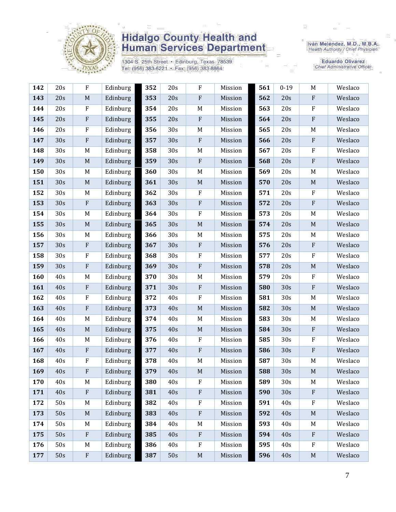

1304 S. 25th Street • Edinburg, Texas 78539<br>Tel: (956) 383-6221 • Fax: (956) 383-8864

Iván Meléndez, M.D., M.B.A.<br>Health Authority / Chief Physician

| 142 | 20s | $\rm F$                   | Edinburg | 352 | 20s             | ${\rm F}$                 | Mission | 561 | $0 - 19$ | $\mathbf M$               | Weslaco |
|-----|-----|---------------------------|----------|-----|-----------------|---------------------------|---------|-----|----------|---------------------------|---------|
| 143 | 20s | $\mathbf M$               | Edinburg | 353 | 20s             | ${\bf F}$                 | Mission | 562 | 20s      | $\rm F$                   | Weslaco |
| 144 | 20s | $\rm F$                   | Edinburg | 354 | 20s             | $\mathbf M$               | Mission | 563 | 20s      | $\rm F$                   | Weslaco |
| 145 | 20s | $\rm F$                   | Edinburg | 355 | 20s             | ${\bf F}$                 | Mission | 564 | 20s      | ${\bf F}$                 | Weslaco |
| 146 | 20s | $\rm F$                   | Edinburg | 356 | 30s             | $\mathbf M$               | Mission | 565 | 20s      | M                         | Weslaco |
| 147 | 30s | $\rm F$                   | Edinburg | 357 | 30s             | ${\bf F}$                 | Mission | 566 | 20s      | $\rm F$                   | Weslaco |
| 148 | 30s | M                         | Edinburg | 358 | 30s             | $\mathbf M$               | Mission | 567 | 20s      | $\rm F$                   | Weslaco |
| 149 | 30s | $\mathbf M$               | Edinburg | 359 | 30s             | ${\bf F}$                 | Mission | 568 | 20s      | $\rm F$                   | Weslaco |
| 150 | 30s | M                         | Edinburg | 360 | 30s             | $\mathbf M$               | Mission | 569 | 20s      | $\mathbf M$               | Weslaco |
| 151 | 30s | $\mathbf M$               | Edinburg | 361 | 30s             | $\mathbf M$               | Mission | 570 | 20s      | $\mathbf M$               | Weslaco |
| 152 | 30s | M                         | Edinburg | 362 | 30s             | ${\bf F}$                 | Mission | 571 | 20s      | $\rm F$                   | Weslaco |
| 153 | 30s | $\boldsymbol{\mathrm{F}}$ | Edinburg | 363 | 30s             | ${\bf F}$                 | Mission | 572 | 20s      | $\rm F$                   | Weslaco |
| 154 | 30s | M                         | Edinburg | 364 | 30s             | ${\bf F}$                 | Mission | 573 | 20s      | M                         | Weslaco |
| 155 | 30s | $\mathbf M$               | Edinburg | 365 | 30s             | $\mathbf M$               | Mission | 574 | 20s      | $\mathbf M$               | Weslaco |
| 156 | 30s | M                         | Edinburg | 366 | 30s             | $\mathbf M$               | Mission | 575 | 20s      | M                         | Weslaco |
| 157 | 30s | $\rm F$                   | Edinburg | 367 | 30s             | ${\bf F}$                 | Mission | 576 | 20s      | $\mathbf{F}$              | Weslaco |
| 158 | 30s | ${\bf F}$                 | Edinburg | 368 | 30 <sub>s</sub> | ${\bf F}$                 | Mission | 577 | 20s      | $\rm F$                   | Weslaco |
| 159 | 30s | $\rm F$                   | Edinburg | 369 | 30s             | ${\bf F}$                 | Mission | 578 | 20s      | $\mathbf M$               | Weslaco |
| 160 | 40s | M                         | Edinburg | 370 | 30s             | $\mathbf M$               | Mission | 579 | 20s      | $\rm F$                   | Weslaco |
| 161 | 40s | $\boldsymbol{\mathrm{F}}$ | Edinburg | 371 | 30s             | ${\bf F}$                 | Mission | 580 | 30s      | $\boldsymbol{\mathrm{F}}$ | Weslaco |
| 162 | 40s | $\rm F$                   | Edinburg | 372 | 40s             | ${\bf F}$                 | Mission | 581 | 30s      | M                         | Weslaco |
| 163 | 40s | ${\bf F}$                 | Edinburg | 373 | 40s             | $\mathbf M$               | Mission | 582 | 30s      | $\mathbf M$               | Weslaco |
| 164 | 40s | M                         | Edinburg | 374 | 40s             | M                         | Mission | 583 | 30s      | M                         | Weslaco |
| 165 | 40s | $\mathbf M$               | Edinburg | 375 | 40s             | $\mathbf M$               | Mission | 584 | 30s      | $\rm F$                   | Weslaco |
| 166 | 40s | M                         | Edinburg | 376 | 40s             | ${\bf F}$                 | Mission | 585 | 30s      | $\rm F$                   | Weslaco |
| 167 | 40s | $\rm F$                   | Edinburg | 377 | 40s             | ${\bf F}$                 | Mission | 586 | 30s      | $\rm F$                   | Weslaco |
| 168 | 40s | F                         | Edinburg | 378 | 40s             | M                         | Mission | 587 | 30s      | M                         | Weslaco |
| 169 | 40s | ${\bf F}$                 | Edinburg | 379 | 40s             | $\mathbf M$               | Mission | 588 | 30s      | $\mathbf M$               | Weslaco |
| 170 | 40s | M                         | Edinburg | 380 | 40s             | F                         | Mission | 589 | 30s      | M                         | Weslaco |
| 171 | 40s | $\boldsymbol{\mathrm{F}}$ | Edinburg | 381 | 40s             | ${\bf F}$                 | Mission | 590 | 30s      | $\mathbf{F}$              | Weslaco |
| 172 | 50s | M                         | Edinburg | 382 | 40s             | F                         | Mission | 591 | 40s      | $\rm F$                   | Weslaco |
| 173 | 50s | $\mathbf M$               | Edinburg | 383 | 40s             | ${\bf F}$                 | Mission | 592 | 40s      | $\mathbf M$               | Weslaco |
| 174 | 50s | M                         | Edinburg | 384 | 40s             | $M_{\rm}$                 | Mission | 593 | 40s      | M                         | Weslaco |
| 175 | 50s | $\rm F$                   | Edinburg | 385 | 40s             | $\boldsymbol{\mathrm{F}}$ | Mission | 594 | 40s      | $\mathbf{F}$              | Weslaco |
| 176 | 50s | M                         | Edinburg | 386 | 40s             | F                         | Mission | 595 | 40s      | $\rm F$                   | Weslaco |
| 177 | 50s | $\boldsymbol{\mathrm{F}}$ | Edinburg | 387 | 50s             | $\mathbf M$               | Mission | 596 | 40s      | $\mathbf M$               | Weslaco |